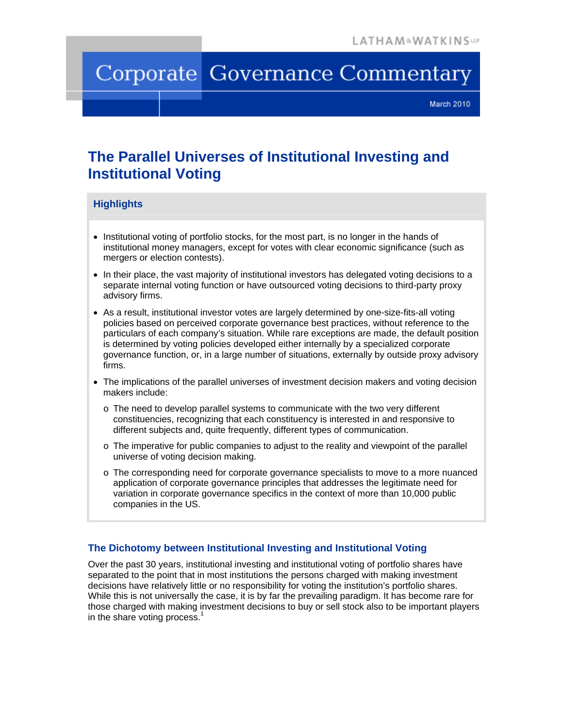# Corporate Governance Commentary

March 2010

## **The Parallel Universes of Institutional Investing and Institutional Voting**

#### **Highlights**

- Institutional voting of portfolio stocks, for the most part, is no longer in the hands of institutional money managers, except for votes with clear economic significance (such as mergers or election contests).
- In their place, the vast majority of institutional investors has delegated voting decisions to a separate internal voting function or have outsourced voting decisions to third-party proxy advisory firms.
- As a result, institutional investor votes are largely determined by one-size-fits-all voting policies based on perceived corporate governance best practices, without reference to the particulars of each company's situation. While rare exceptions are made, the default position is determined by voting policies developed either internally by a specialized corporate governance function, or, in a large number of situations, externally by outside proxy advisory firms.
- The implications of the parallel universes of investment decision makers and voting decision makers include:
	- o The need to develop parallel systems to communicate with the two very different constituencies, recognizing that each constituency is interested in and responsive to different subjects and, quite frequently, different types of communication.
	- o The imperative for public companies to adjust to the reality and viewpoint of the parallel universe of voting decision making.
	- o The corresponding need for corporate governance specialists to move to a more nuanced application of corporate governance principles that addresses the legitimate need for variation in corporate governance specifics in the context of more than 10,000 public companies in the US.

### **The Dichotomy between Institutional Investing and Institutional Voting**

Over the past 30 years, institutional investing and institutional voting of portfolio shares have separated to the point that in most institutions the persons charged with making investment decisions have relatively little or no responsibility for voting the institution's portfolio shares. While this is not universally the case, it is by far the prevailing paradigm. It has become rare for those charged with making investment decisions to buy or sell stock also to be important players in the share voting process. $<sup>1</sup>$ </sup>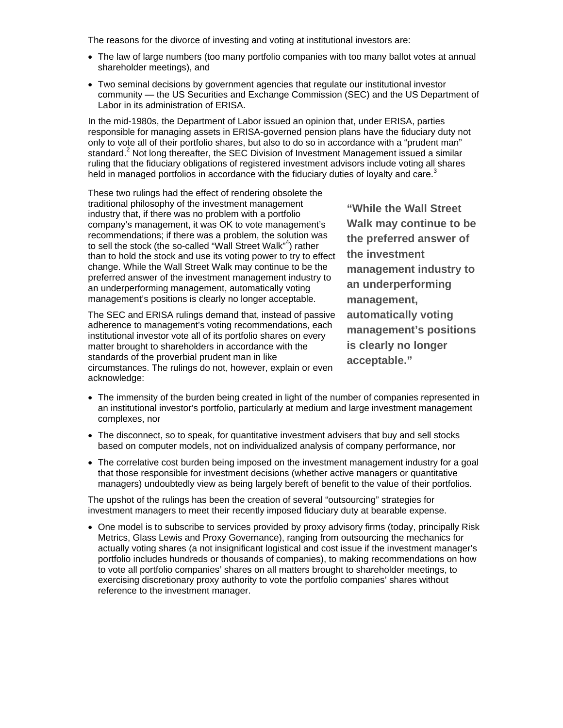The reasons for the divorce of investing and voting at institutional investors are:

- The law of large numbers (too many portfolio companies with too many ballot votes at annual shareholder meetings), and
- Two seminal decisions by government agencies that regulate our institutional investor community — the US Securities and Exchange Commission (SEC) and the US Department of Labor in its administration of ERISA.

In the mid-1980s, the Department of Labor issued an opinion that, under ERISA, parties responsible for managing assets in ERISA-governed pension plans have the fiduciary duty not only to vote all of their portfolio shares, but also to do so in accordance with a "prudent man" standard. $2$  Not long thereafter, the SEC Division of Investment Management issued a similar ruling that the fiduciary obligations of registered investment advisors include voting all shares held in managed portfolios in accordance with the fiduciary duties of loyalty and care.<sup>3</sup>

These two rulings had the effect of rendering obsolete the traditional philosophy of the investment management industry that, if there was no problem with a portfolio company's management, it was OK to vote management's recommendations; if there was a problem, the solution was to sell the stock (the so-called "Wall Street Walk"<sup>4</sup>) rather than to hold the stock and use its voting power to try to effect change. While the Wall Street Walk may continue to be the preferred answer of the investment management industry to an underperforming management, automatically voting management's positions is clearly no longer acceptable.

The SEC and ERISA rulings demand that, instead of passive adherence to management's voting recommendations, each institutional investor vote all of its portfolio shares on every matter brought to shareholders in accordance with the standards of the proverbial prudent man in like circumstances. The rulings do not, however, explain or even acknowledge:

**"While the Wall Street Walk may continue to be the preferred answer of the investment management industry to an underperforming management, automatically voting management's positions is clearly no longer acceptable."** 

- The immensity of the burden being created in light of the number of companies represented in an institutional investor's portfolio, particularly at medium and large investment management complexes, nor
- The disconnect, so to speak, for quantitative investment advisers that buy and sell stocks based on computer models, not on individualized analysis of company performance, nor
- The correlative cost burden being imposed on the investment management industry for a goal that those responsible for investment decisions (whether active managers or quantitative managers) undoubtedly view as being largely bereft of benefit to the value of their portfolios.

The upshot of the rulings has been the creation of several "outsourcing" strategies for investment managers to meet their recently imposed fiduciary duty at bearable expense.

 One model is to subscribe to services provided by proxy advisory firms (today, principally Risk Metrics, Glass Lewis and Proxy Governance), ranging from outsourcing the mechanics for actually voting shares (a not insignificant logistical and cost issue if the investment manager's portfolio includes hundreds or thousands of companies), to making recommendations on how to vote all portfolio companies' shares on all matters brought to shareholder meetings, to exercising discretionary proxy authority to vote the portfolio companies' shares without reference to the investment manager.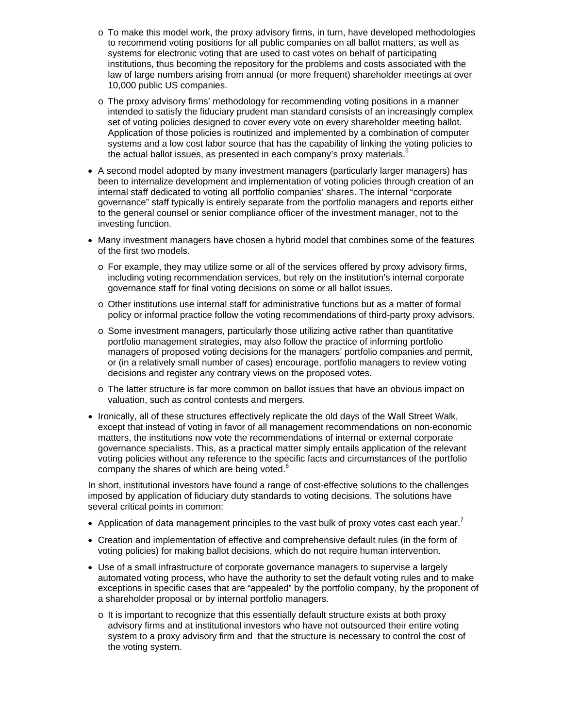- $\circ$  To make this model work, the proxy advisory firms, in turn, have developed methodologies to recommend voting positions for all public companies on all ballot matters, as well as systems for electronic voting that are used to cast votes on behalf of participating institutions, thus becoming the repository for the problems and costs associated with the law of large numbers arising from annual (or more frequent) shareholder meetings at over 10,000 public US companies.
- o The proxy advisory firms' methodology for recommending voting positions in a manner intended to satisfy the fiduciary prudent man standard consists of an increasingly complex set of voting policies designed to cover every vote on every shareholder meeting ballot. Application of those policies is routinized and implemented by a combination of computer systems and a low cost labor source that has the capability of linking the voting policies to the actual ballot issues, as presented in each company's proxy materials.<sup>5</sup>
- A second model adopted by many investment managers (particularly larger managers) has been to internalize development and implementation of voting policies through creation of an internal staff dedicated to voting all portfolio companies' shares. The internal "corporate governance" staff typically is entirely separate from the portfolio managers and reports either to the general counsel or senior compliance officer of the investment manager, not to the investing function.
- Many investment managers have chosen a hybrid model that combines some of the features of the first two models.
	- o For example, they may utilize some or all of the services offered by proxy advisory firms, including voting recommendation services, but rely on the institution's internal corporate governance staff for final voting decisions on some or all ballot issues.
	- $\circ$  Other institutions use internal staff for administrative functions but as a matter of formal policy or informal practice follow the voting recommendations of third-party proxy advisors.
	- $\circ$  Some investment managers, particularly those utilizing active rather than quantitative portfolio management strategies, may also follow the practice of informing portfolio managers of proposed voting decisions for the managers' portfolio companies and permit, or (in a relatively small number of cases) encourage, portfolio managers to review voting decisions and register any contrary views on the proposed votes.
	- o The latter structure is far more common on ballot issues that have an obvious impact on valuation, such as control contests and mergers.
- Ironically, all of these structures effectively replicate the old days of the Wall Street Walk, except that instead of voting in favor of all management recommendations on non-economic matters, the institutions now vote the recommendations of internal or external corporate governance specialists. This, as a practical matter simply entails application of the relevant voting policies without any reference to the specific facts and circumstances of the portfolio company the shares of which are being voted. $6$

In short, institutional investors have found a range of cost-effective solutions to the challenges imposed by application of fiduciary duty standards to voting decisions. The solutions have several critical points in common:

- Application of data management principles to the vast bulk of proxy votes cast each year.<sup>7</sup>
- Creation and implementation of effective and comprehensive default rules (in the form of voting policies) for making ballot decisions, which do not require human intervention.
- Use of a small infrastructure of corporate governance managers to supervise a largely automated voting process, who have the authority to set the default voting rules and to make exceptions in specific cases that are "appealed" by the portfolio company, by the proponent of a shareholder proposal or by internal portfolio managers.
	- $\circ$  It is important to recognize that this essentially default structure exists at both proxy advisory firms and at institutional investors who have not outsourced their entire voting system to a proxy advisory firm and that the structure is necessary to control the cost of the voting system.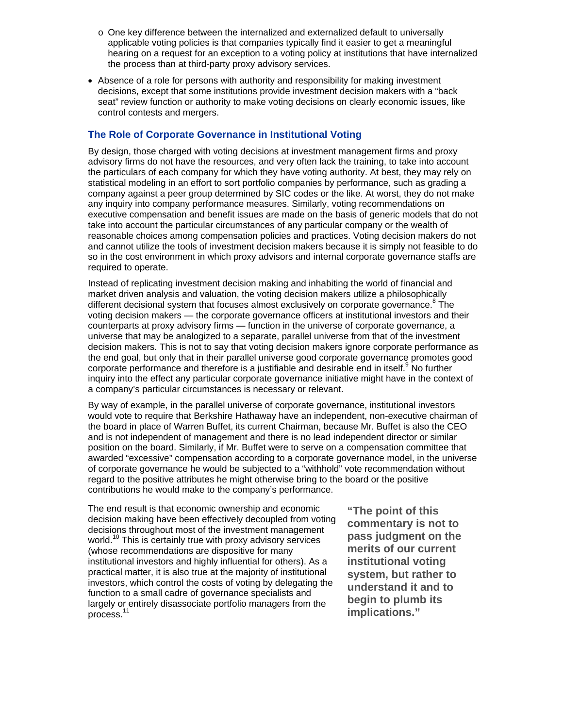- o One key difference between the internalized and externalized default to universally applicable voting policies is that companies typically find it easier to get a meaningful hearing on a request for an exception to a voting policy at institutions that have internalized the process than at third-party proxy advisory services.
- Absence of a role for persons with authority and responsibility for making investment decisions, except that some institutions provide investment decision makers with a "back seat" review function or authority to make voting decisions on clearly economic issues, like control contests and mergers.

#### **The Role of Corporate Governance in Institutional Voting**

By design, those charged with voting decisions at investment management firms and proxy advisory firms do not have the resources, and very often lack the training, to take into account the particulars of each company for which they have voting authority. At best, they may rely on statistical modeling in an effort to sort portfolio companies by performance, such as grading a company against a peer group determined by SIC codes or the like. At worst, they do not make any inquiry into company performance measures. Similarly, voting recommendations on executive compensation and benefit issues are made on the basis of generic models that do not take into account the particular circumstances of any particular company or the wealth of reasonable choices among compensation policies and practices. Voting decision makers do not and cannot utilize the tools of investment decision makers because it is simply not feasible to do so in the cost environment in which proxy advisors and internal corporate governance staffs are required to operate.

Instead of replicating investment decision making and inhabiting the world of financial and market driven analysis and valuation, the voting decision makers utilize a philosophically different decisional system that focuses almost exclusively on corporate governance.<sup>8</sup> The voting decision makers — the corporate governance officers at institutional investors and their counterparts at proxy advisory firms — function in the universe of corporate governance, a universe that may be analogized to a separate, parallel universe from that of the investment decision makers. This is not to say that voting decision makers ignore corporate performance as the end goal, but only that in their parallel universe good corporate governance promotes good corporate performance and therefore is a justifiable and desirable end in itself.<sup>9</sup> No further inquiry into the effect any particular corporate governance initiative might have in the context of a company's particular circumstances is necessary or relevant.

By way of example, in the parallel universe of corporate governance, institutional investors would vote to require that Berkshire Hathaway have an independent, non-executive chairman of the board in place of Warren Buffet, its current Chairman, because Mr. Buffet is also the CEO and is not independent of management and there is no lead independent director or similar position on the board. Similarly, if Mr. Buffet were to serve on a compensation committee that awarded "excessive" compensation according to a corporate governance model, in the universe of corporate governance he would be subjected to a "withhold" vote recommendation without regard to the positive attributes he might otherwise bring to the board or the positive contributions he would make to the company's performance.

The end result is that economic ownership and economic decision making have been effectively decoupled from voting decisions throughout most of the investment management world.<sup>10</sup> This is certainly true with proxy advisory services (whose recommendations are dispositive for many institutional investors and highly influential for others). As a practical matter, it is also true at the majority of institutional investors, which control the costs of voting by delegating the function to a small cadre of governance specialists and largely or entirely disassociate portfolio managers from the process.<sup>11</sup>

**"The point of this commentary is not to pass judgment on the merits of our current institutional voting system, but rather to understand it and to begin to plumb its implications."**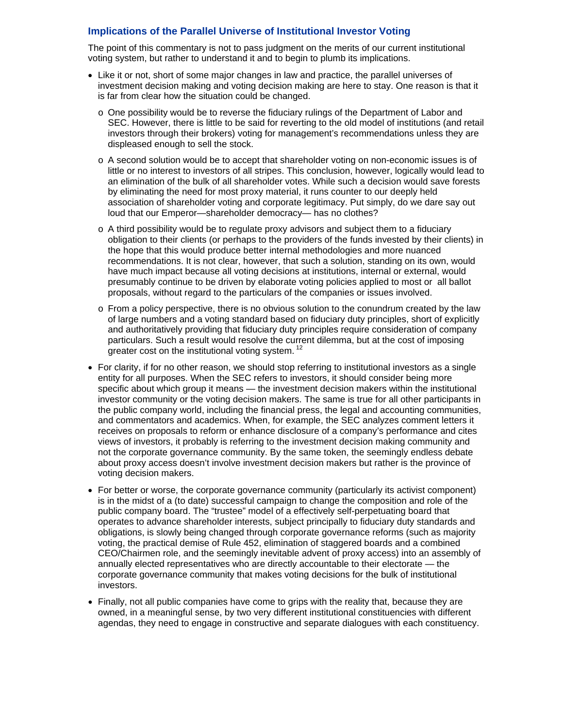#### **Implications of the Parallel Universe of Institutional Investor Voting**

The point of this commentary is not to pass judgment on the merits of our current institutional voting system, but rather to understand it and to begin to plumb its implications.

- Like it or not, short of some major changes in law and practice, the parallel universes of investment decision making and voting decision making are here to stay. One reason is that it is far from clear how the situation could be changed.
	- o One possibility would be to reverse the fiduciary rulings of the Department of Labor and SEC. However, there is little to be said for reverting to the old model of institutions (and retail investors through their brokers) voting for management's recommendations unless they are displeased enough to sell the stock.
	- o A second solution would be to accept that shareholder voting on non-economic issues is of little or no interest to investors of all stripes. This conclusion, however, logically would lead to an elimination of the bulk of all shareholder votes. While such a decision would save forests by eliminating the need for most proxy material, it runs counter to our deeply held association of shareholder voting and corporate legitimacy. Put simply, do we dare say out loud that our Emperor—shareholder democracy— has no clothes?
	- $\circ$  A third possibility would be to regulate proxy advisors and subject them to a fiduciary obligation to their clients (or perhaps to the providers of the funds invested by their clients) in the hope that this would produce better internal methodologies and more nuanced recommendations. It is not clear, however, that such a solution, standing on its own, would have much impact because all voting decisions at institutions, internal or external, would presumably continue to be driven by elaborate voting policies applied to most or all ballot proposals, without regard to the particulars of the companies or issues involved.
	- o From a policy perspective, there is no obvious solution to the conundrum created by the law of large numbers and a voting standard based on fiduciary duty principles, short of explicitly and authoritatively providing that fiduciary duty principles require consideration of company particulars. Such a result would resolve the current dilemma, but at the cost of imposing greater cost on the institutional voting system.<sup>12</sup>
- For clarity, if for no other reason, we should stop referring to institutional investors as a single entity for all purposes. When the SEC refers to investors, it should consider being more specific about which group it means — the investment decision makers within the institutional investor community or the voting decision makers. The same is true for all other participants in the public company world, including the financial press, the legal and accounting communities, and commentators and academics. When, for example, the SEC analyzes comment letters it receives on proposals to reform or enhance disclosure of a company's performance and cites views of investors, it probably is referring to the investment decision making community and not the corporate governance community. By the same token, the seemingly endless debate about proxy access doesn't involve investment decision makers but rather is the province of voting decision makers.
- For better or worse, the corporate governance community (particularly its activist component) is in the midst of a (to date) successful campaign to change the composition and role of the public company board. The "trustee" model of a effectively self-perpetuating board that operates to advance shareholder interests, subject principally to fiduciary duty standards and obligations, is slowly being changed through corporate governance reforms (such as majority voting, the practical demise of Rule 452, elimination of staggered boards and a combined CEO/Chairmen role, and the seemingly inevitable advent of proxy access) into an assembly of annually elected representatives who are directly accountable to their electorate — the corporate governance community that makes voting decisions for the bulk of institutional investors.
- Finally, not all public companies have come to grips with the reality that, because they are owned, in a meaningful sense, by two very different institutional constituencies with different agendas, they need to engage in constructive and separate dialogues with each constituency.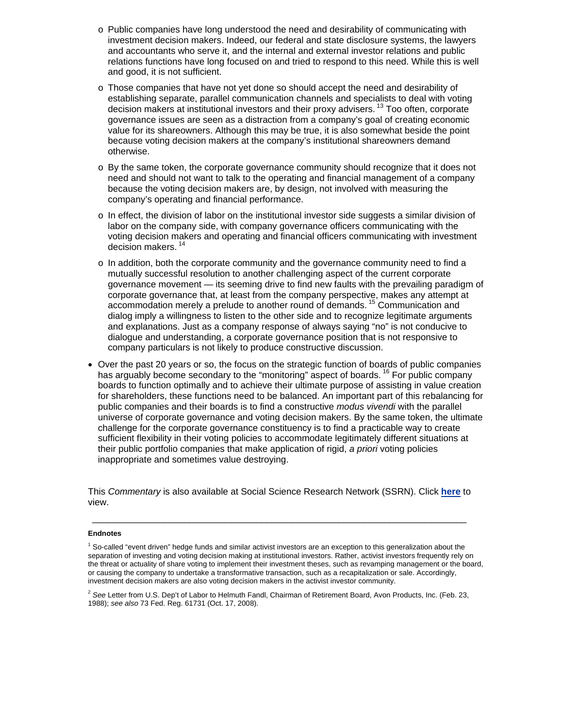- o Public companies have long understood the need and desirability of communicating with investment decision makers. Indeed, our federal and state disclosure systems, the lawyers and accountants who serve it, and the internal and external investor relations and public relations functions have long focused on and tried to respond to this need. While this is well and good, it is not sufficient.
- o Those companies that have not yet done so should accept the need and desirability of establishing separate, parallel communication channels and specialists to deal with voting decision makers at institutional investors and their proxy advisers.<sup>13</sup> Too often, corporate governance issues are seen as a distraction from a company's goal of creating economic value for its shareowners. Although this may be true, it is also somewhat beside the point because voting decision makers at the company's institutional shareowners demand otherwise.
- o By the same token, the corporate governance community should recognize that it does not need and should not want to talk to the operating and financial management of a company because the voting decision makers are, by design, not involved with measuring the company's operating and financial performance.
- $\circ$  In effect, the division of labor on the institutional investor side suggests a similar division of labor on the company side, with company governance officers communicating with the voting decision makers and operating and financial officers communicating with investment decision makers.<sup>14</sup>
- o In addition, both the corporate community and the governance community need to find a mutually successful resolution to another challenging aspect of the current corporate governance movement — its seeming drive to find new faults with the prevailing paradigm of corporate governance that, at least from the company perspective, makes any attempt at accommodation merely a prelude to another round of demands. 15 Communication and dialog imply a willingness to listen to the other side and to recognize legitimate arguments and explanations. Just as a company response of always saying "no" is not conducive to dialogue and understanding, a corporate governance position that is not responsive to company particulars is not likely to produce constructive discussion.
- Over the past 20 years or so, the focus on the strategic function of boards of public companies has arguably become secondary to the "monitoring" aspect of boards. <sup>16</sup> For public company boards to function optimally and to achieve their ultimate purpose of assisting in value creation for shareholders, these functions need to be balanced. An important part of this rebalancing for public companies and their boards is to find a constructive *modus vivendi* with the parallel universe of corporate governance and voting decision makers. By the same token, the ultimate challenge for the corporate governance constituency is to find a practicable way to create sufficient flexibility in their voting policies to accommodate legitimately different situations at their public portfolio companies that make application of rigid, *a priori* voting policies inappropriate and sometimes value destroying.

This *Commentary* is also available at Social Science Research Network (SSRN). Click **[here](http://papers.ssrn.com/sol3/papers.cfm?abstract_id=1583507)** to view.

\_\_\_\_\_\_\_\_\_\_\_\_\_\_\_\_\_\_\_\_\_\_\_\_\_\_\_\_\_\_\_\_\_\_\_\_\_\_\_\_\_\_\_\_\_\_\_\_\_\_\_\_\_\_\_\_\_\_\_\_\_\_\_\_\_\_\_\_\_\_\_\_\_

#### **Endnotes**

<sup>&</sup>lt;sup>1</sup> So-called "event driven" hedge funds and similar activist investors are an exception to this generalization about the separation of investing and voting decision making at institutional investors. Rather, activist investors frequently rely on the threat or actuality of share voting to implement their investment theses, such as revamping management or the board, or causing the company to undertake a transformative transaction, such as a recapitalization or sale. Accordingly, investment decision makers are also voting decision makers in the activist investor community.

<sup>2</sup> *See* Letter from U.S. Dep't of Labor to Helmuth Fandl, Chairman of Retirement Board, Avon Products, Inc. (Feb. 23, 1988); *see also* 73 Fed. Reg. 61731 (Oct. 17, 2008).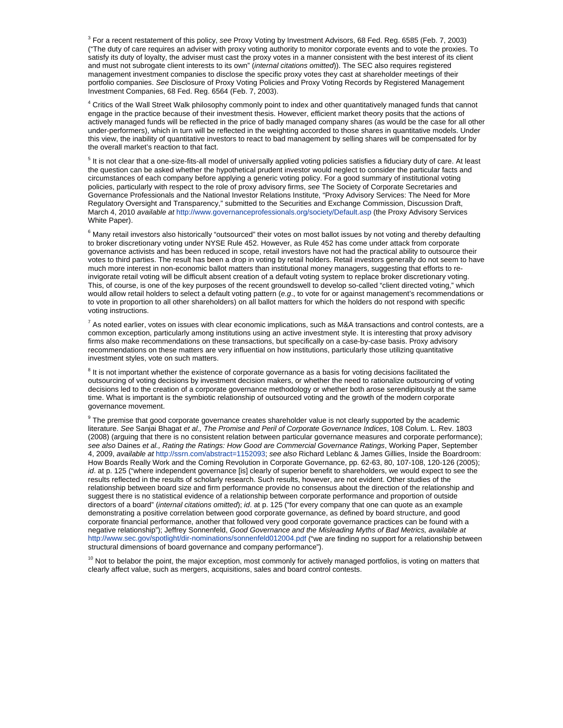3 For a recent restatement of this policy, *see* Proxy Voting by Investment Advisors, 68 Fed. Reg. 6585 (Feb. 7, 2003) ("The duty of care requires an adviser with proxy voting authority to monitor corporate events and to vote the proxies. To satisfy its duty of loyalty, the adviser must cast the proxy votes in a manner consistent with the best interest of its client and must not subrogate client interests to its own" (*internal citations omitted*)). The SEC also requires registered management investment companies to disclose the specific proxy votes they cast at shareholder meetings of their portfolio companies. *See* Disclosure of Proxy Voting Policies and Proxy Voting Records by Registered Management Investment Companies, 68 Fed. Reg. 6564 (Feb. 7, 2003).

4 Critics of the Wall Street Walk philosophy commonly point to index and other quantitatively managed funds that cannot engage in the practice because of their investment thesis. However, efficient market theory posits that the actions of actively managed funds will be reflected in the price of badly managed company shares (as would be the case for all other under-performers), which in turn will be reflected in the weighting accorded to those shares in quantitative models. Under this view, the inability of quantitative investors to react to bad management by selling shares will be compensated for by the overall market's reaction to that fact.

<sup>5</sup> It is not clear that a one-size-fits-all model of universally applied voting policies satisfies a fiduciary duty of care. At least the question can be asked whether the hypothetical prudent investor would neglect to consider the particular facts and circumstances of each company before applying a generic voting policy. For a good summary of institutional voting policies, particularly with respect to the role of proxy advisory firms, *see* The Society of Corporate Secretaries and Governance Professionals and the National Investor Relations Institute, "Proxy Advisory Services: The Need for More Regulatory Oversight and Transparency," submitted to the Securities and Exchange Commission, Discussion Draft, March 4, 2010 *available at* <http://www.governanceprofessionals.org/society/Default.asp> (the Proxy Advisory Services White Paper).

<sup>6</sup> Many retail investors also historically "outsourced" their votes on most ballot issues by not voting and thereby defaulting to broker discretionary voting under NYSE Rule 452. However, as Rule 452 has come under attack from corporate governance activists and has been reduced in scope, retail investors have not had the practical ability to outsource their votes to third parties. The result has been a drop in voting by retail holders. Retail investors generally do not seem to have much more interest in non-economic ballot matters than institutional money managers, suggesting that efforts to reinvigorate retail voting will be difficult absent creation of a default voting system to replace broker discretionary voting. This, of course, is one of the key purposes of the recent groundswell to develop so-called "client directed voting," which would allow retail holders to select a default voting pattern (*e.g*., to vote for or against management's recommendations or to vote in proportion to all other shareholders) on all ballot matters for which the holders do not respond with specific voting instructions.

 $^7$  As noted earlier, votes on issues with clear economic implications, such as M&A transactions and control contests, are a common exception, particularly among institutions using an active investment style. It is interesting that proxy advisory firms also make recommendations on these transactions, but specifically on a case-by-case basis. Proxy advisory recommendations on these matters are very influential on how institutions, particularly those utilizing quantitative investment styles, vote on such matters.

<sup>8</sup> It is not important whether the existence of corporate governance as a basis for voting decisions facilitated the outsourcing of voting decisions by investment decision makers, or whether the need to rationalize outsourcing of voting decisions led to the creation of a corporate governance methodology or whether both arose serendipitously at the same time. What is important is the symbiotic relationship of outsourced voting and the growth of the modern corporate governance movement.

<sup>9</sup> The premise that good corporate governance creates shareholder value is not clearly supported by the academic literature. *See* Sanjai Bhagat *et al., The Promise and Peril of Corporate Governance Indices*, 108 Colum. L. Rev. 1803 (2008) (arguing that there is no consistent relation between particular governance measures and corporate performance); *see also* Daines *et al., Rating the Ratings: How Good are Commercial Governance Ratings*, Working Paper, September 4, 2009, *available at* [http://ssrn.com/abstract=1152093;](http://ssrn.com/abstract=1152093) *see also* Richard Leblanc & James Gillies, Inside the Boardroom: How Boards Really Work and the Coming Revolution in Corporate Governance, pp. 62-63, 80, 107-108, 120-126 (2005); *id*. at p. 125 ("where independent governance [is] clearly of superior benefit to shareholders, we would expect to see the results reflected in the results of scholarly research. Such results, however, are not evident. Other studies of the relationship between board size and firm performance provide no consensus about the direction of the relationship and suggest there is no statistical evidence of a relationship between corporate performance and proportion of outside directors of a board" (*internal citations omitted*); *id*. at p. 125 ("for every company that one can quote as an example demonstrating a positive correlation between good corporate governance, as defined by board structure, and good corporate financial performance, another that followed very good corporate governance practices can be found with a negative relationship"); Jeffrey Sonnenfeld, *Good Governance and the Misleading Myths of Bad Metrics, available at*  <http://www.sec.gov/spotlight/dir-nominations/sonnenfeld012004.pdf> ("we are finding no support for a relationship between structural dimensions of board governance and company performance").

<sup>10</sup> Not to belabor the point, the major exception, most commonly for actively managed portfolios, is voting on matters that clearly affect value, such as mergers, acquisitions, sales and board control contests.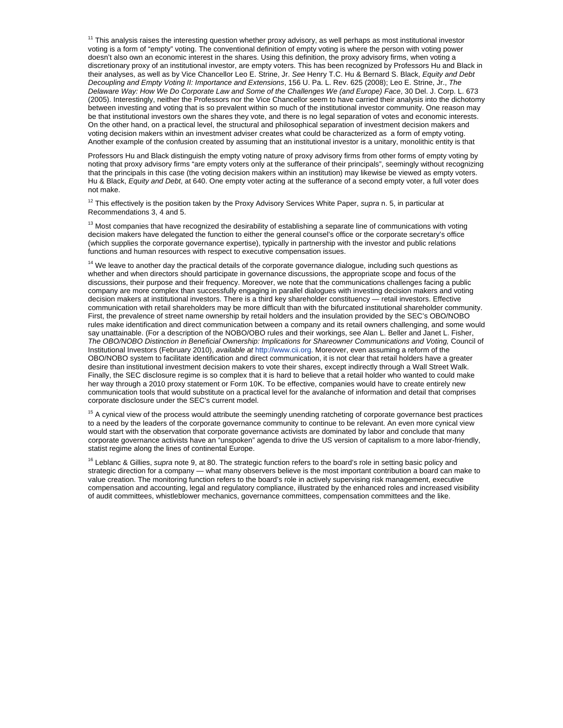<sup>11</sup> This analysis raises the interesting question whether proxy advisory, as well perhaps as most institutional investor voting is a form of "empty" voting. The conventional definition of empty voting is where the person with voting power doesn't also own an economic interest in the shares. Using this definition, the proxy advisory firms, when voting a discretionary proxy of an institutional investor, are empty voters. This has been recognized by Professors Hu and Black in their analyses, as well as by Vice Chancellor Leo E. Strine, Jr. *See* Henry T.C. Hu & Bernard S. Black, *Equity and Debt Decoupling and Empty Voting II: Importance and Extensions*, 156 U. Pa. L. Rev. 625 (2008); Leo E. Strine, Jr., *The Delaware Way: How We Do Corporate Law and Some of the Challenges We (and Europe) Face*, 30 Del. J. Corp. L. 673 (2005). Interestingly, neither the Professors nor the Vice Chancellor seem to have carried their analysis into the dichotomy between investing and voting that is so prevalent within so much of the institutional investor community. One reason may be that institutional investors own the shares they vote, and there is no legal separation of votes and economic interests. On the other hand, on a practical level, the structural and philosophical separation of investment decision makers and voting decision makers within an investment adviser creates what could be characterized as a form of empty voting. Another example of the confusion created by assuming that an institutional investor is a unitary, monolithic entity is that

Professors Hu and Black distinguish the empty voting nature of proxy advisory firms from other forms of empty voting by noting that proxy advisory firms "are empty voters only at the sufferance of their principals", seemingly without recognizing that the principals in this case (the voting decision makers within an institution) may likewise be viewed as empty voters. Hu & Black, *Equity and Debt*, at 640. One empty voter acting at the sufferance of a second empty voter, a full voter does not make.

12 This effectively is the position taken by the Proxy Advisory Services White Paper, *supra* n. 5, in particular at Recommendations 3, 4 and 5.

 $13$  Most companies that have recognized the desirability of establishing a separate line of communications with voting decision makers have delegated the function to either the general counsel's office or the corporate secretary's office (which supplies the corporate governance expertise), typically in partnership with the investor and public relations functions and human resources with respect to executive compensation issues.

<sup>14</sup> We leave to another day the practical details of the corporate governance dialogue, including such questions as whether and when directors should participate in governance discussions, the appropriate scope and focus of the discussions, their purpose and their frequency. Moreover, we note that the communications challenges facing a public company are more complex than successfully engaging in parallel dialogues with investing decision makers and voting decision makers at institutional investors. There is a third key shareholder constituency — retail investors. Effective communication with retail shareholders may be more difficult than with the bifurcated institutional shareholder community. First, the prevalence of street name ownership by retail holders and the insulation provided by the SEC's OBO/NOBO rules make identification and direct communication between a company and its retail owners challenging, and some would say unattainable. (For a description of the NOBO/OBO rules and their workings, see Alan L. Beller and Janet L. Fisher, *The OBO/NOBO Distinction in Beneficial Ownership: Implications for Shareowner Communications and Voting, Council of* Institutional Investors (February 2010), *available at* [http://www.cii.org.](http://www.cii.org/) Moreover, even assuming a reform of the OBO/NOBO system to facilitate identification and direct communication, it is not clear that retail holders have a greater desire than institutional investment decision makers to vote their shares, except indirectly through a Wall Street Walk. Finally, the SEC disclosure regime is so complex that it is hard to believe that a retail holder who wanted to could make her way through a 2010 proxy statement or Form 10K. To be effective, companies would have to create entirely new communication tools that would substitute on a practical level for the avalanche of information and detail that comprises corporate disclosure under the SEC's current model.

<sup>15</sup> A cynical view of the process would attribute the seemingly unending ratcheting of corporate governance best practices to a need by the leaders of the corporate governance community to continue to be relevant. An even more cynical view would start with the observation that corporate governance activists are dominated by labor and conclude that many corporate governance activists have an "unspoken" agenda to drive the US version of capitalism to a more labor-friendly, statist regime along the lines of continental Europe.

<sup>16</sup> Leblanc & Gillies, *supra* note 9, at 80. The strategic function refers to the board's role in setting basic policy and strategic direction for a company — what many observers believe is the most important contribution a board can make to value creation. The monitoring function refers to the board's role in actively supervising risk management, executive compensation and accounting, legal and regulatory compliance, illustrated by the enhanced roles and increased visibility of audit committees, whistleblower mechanics, governance committees, compensation committees and the like.